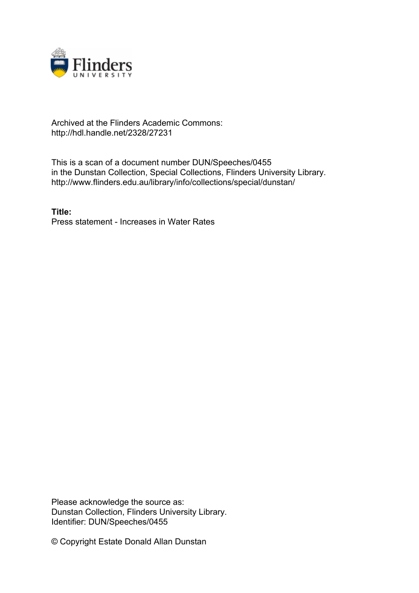

## Archived at the Flinders Academic Commons: http://hdl.handle.net/2328/27231

This is a scan of a document number DUN/Speeches/0455 in the Dunstan Collection, Special Collections, Flinders University Library. http://www.flinders.edu.au/library/info/collections/special/dunstan/

**Title:** Press statement - Increases in Water Rates

Please acknowledge the source as: Dunstan Collection, Flinders University Library. Identifier: DUN/Speeches/0455

© Copyright Estate Donald Allan Dunstan